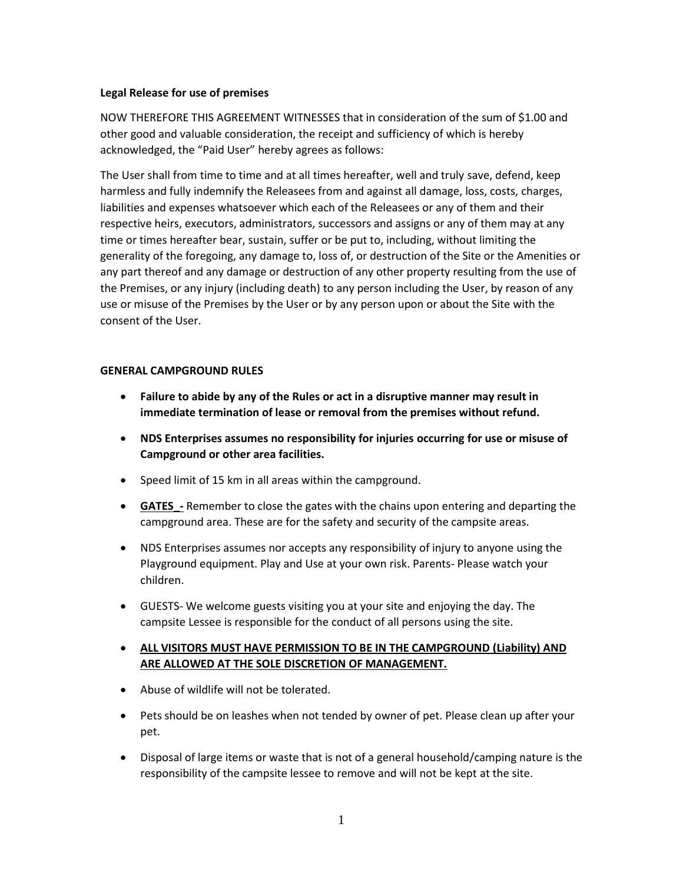## **Legal Release for use of premises**

NOW THEREFORE THIS AGREEMENT WITNESSES that in consideration of the sum of \$1.00 and other good and valuable consideration, the receipt and sufficiency of which is hereby acknowledged, the "Paid User" hereby agrees as follows:

The User shall from time to time and at all times hereafter, well and truly save, defend, keep harmless and fully indemnify the Releasees from and against all damage, loss, costs, charges, liabilities and expenses whatsoever which each of the Releasees or any of them and their respective heirs, executors, administrators, successors and assigns or any of them may at any time or times hereafter bear, sustain, suffer or be put to, including, without limiting the generality of the foregoing, any damage to, loss of, or destruction of the Site or the Amenities or any part thereof and any damage or destruction of any other property resulting from the use of the Premises, or any injury (including death) to any person including the User, by reason of any use or misuse of the Premises by the User or by any person upon or about the Site with the consent of the User.

## **GENERAL CAMPGROUND RULES**

- **Failure to abide by any of the Rules or act in a disruptive manner may result in immediate termination of lease or removal from the premises without refund.**
- **NDS Enterprises assumes no responsibility for injuries occurring for use or misuse of Campground or other area facilities.**
- Speed limit of 15 km in all areas within the campground.
- **GATES** Remember to close the gates with the chains upon entering and departing the campground area. These are for the safety and security of the campsite areas.
- NDS Enterprises assumes nor accepts any responsibility of injury to anyone using the Playground equipment. Play and Use at your own risk. Parents- Please watch your children.
- GUESTS- We welcome guests visiting you at your site and enjoying the day. The campsite Lessee is responsible for the conduct of all persons using the site.
- **ALL VISITORS MUST HAVE PERMISSION TO BE IN THE CAMPGROUND (Liability) AND ARE ALLOWED AT THE SOLE DISCRETION OF MANAGEMENT.**
- Abuse of wildlife will not be tolerated.
- Pets should be on leashes when not tended by owner of pet. Please clean up after your pet.
- Disposal of large items or waste that is not of a general household/camping nature is the responsibility of the campsite lessee to remove and will not be kept at the site.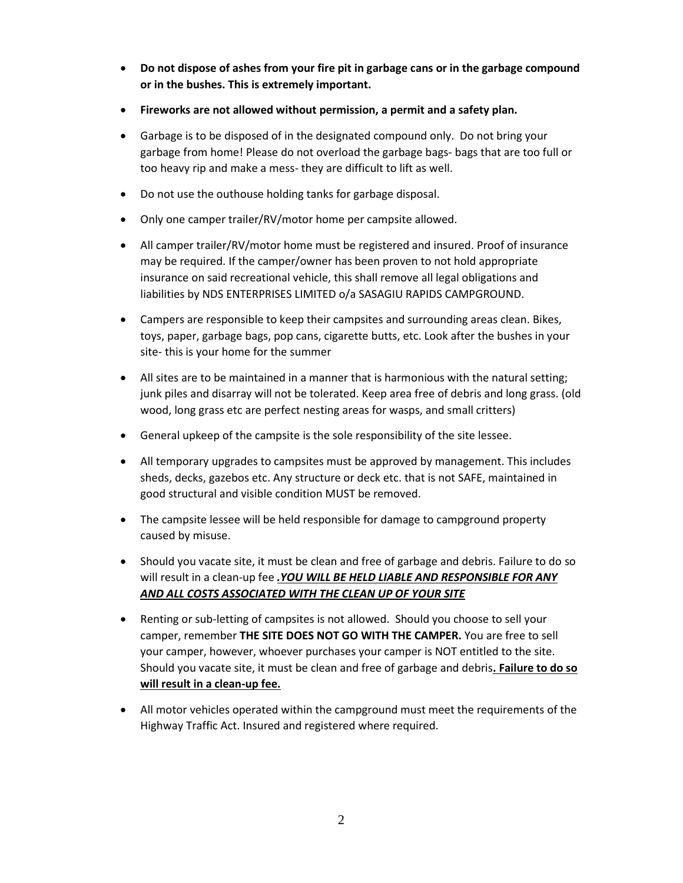- **Do not dispose of ashes from your fire pit in garbage cans or in the garbage compound or in the bushes. This is extremely important.**
- **Fireworks are not allowed without permission, a permit and a safety plan.**
- Garbage is to be disposed of in the designated compound only. Do not bring your garbage from home! Please do not overload the garbage bags- bags that are too full or too heavy rip and make a mess- they are difficult to lift as well.
- Do not use the outhouse holding tanks for garbage disposal.
- Only one camper trailer/RV/motor home per campsite allowed.
- All camper trailer/RV/motor home must be registered and insured. Proof of insurance may be required. If the camper/owner has been proven to not hold appropriate insurance on said recreational vehicle, this shall remove all legal obligations and liabilities by NDS ENTERPRISES LIMITED o/a SASAGIU RAPIDS CAMPGROUND.
- Campers are responsible to keep their campsites and surrounding areas clean. Bikes, toys, paper, garbage bags, pop cans, cigarette butts, etc. Look after the bushes in your site- this is your home for the summer
- All sites are to be maintained in a manner that is harmonious with the natural setting; junk piles and disarray will not be tolerated. Keep area free of debris and long grass. (old wood, long grass etc are perfect nesting areas for wasps, and small critters)
- General upkeep of the campsite is the sole responsibility of the site lessee.
- All temporary upgrades to campsites must be approved by management. This includes sheds, decks, gazebos etc. Any structure or deck etc. that is not SAFE, maintained in good structural and visible condition MUST be removed.
- The campsite lessee will be held responsible for damage to campground property caused by misuse.
- Should you vacate site, it must be clean and free of garbage and debris. Failure to do so will result in a clean-up fee *.YOU WILL BE HELD LIABLE AND RESPONSIBLE FOR ANY AND ALL COSTS ASSOCIATED WITH THE CLEAN UP OF YOUR SITE*
- Renting or sub-letting of campsites is not allowed. Should you choose to sell your camper, remember **THE SITE DOES NOT GO WITH THE CAMPER.** You are free to sell your camper, however, whoever purchases your camper is NOT entitled to the site. Should you vacate site, it must be clean and free of garbage and debris**. Failure to do so will result in a clean-up fee.**
- All motor vehicles operated within the campground must meet the requirements of the Highway Traffic Act. Insured and registered where required.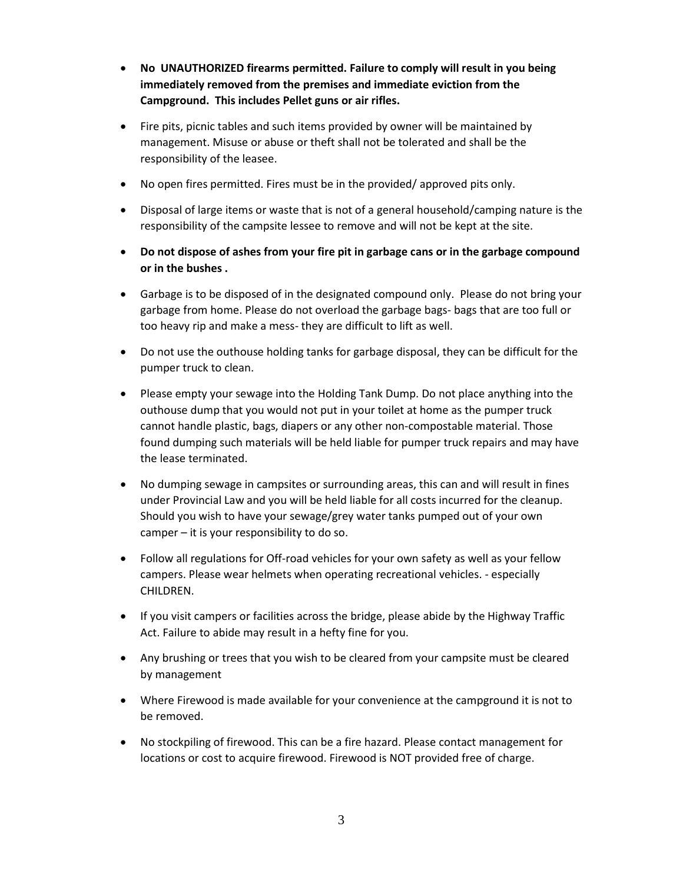- **No UNAUTHORIZED firearms permitted. Failure to comply will result in you being immediately removed from the premises and immediate eviction from the Campground. This includes Pellet guns or air rifles.**
- Fire pits, picnic tables and such items provided by owner will be maintained by management. Misuse or abuse or theft shall not be tolerated and shall be the responsibility of the leasee.
- No open fires permitted. Fires must be in the provided/ approved pits only.
- Disposal of large items or waste that is not of a general household/camping nature is the responsibility of the campsite lessee to remove and will not be kept at the site.
- **Do not dispose of ashes from your fire pit in garbage cans or in the garbage compound or in the bushes .**
- Garbage is to be disposed of in the designated compound only. Please do not bring your garbage from home. Please do not overload the garbage bags- bags that are too full or too heavy rip and make a mess- they are difficult to lift as well.
- Do not use the outhouse holding tanks for garbage disposal, they can be difficult for the pumper truck to clean.
- Please empty your sewage into the Holding Tank Dump. Do not place anything into the outhouse dump that you would not put in your toilet at home as the pumper truck cannot handle plastic, bags, diapers or any other non-compostable material. Those found dumping such materials will be held liable for pumper truck repairs and may have the lease terminated.
- No dumping sewage in campsites or surrounding areas, this can and will result in fines under Provincial Law and you will be held liable for all costs incurred for the cleanup. Should you wish to have your sewage/grey water tanks pumped out of your own camper – it is your responsibility to do so.
- Follow all regulations for Off-road vehicles for your own safety as well as your fellow campers. Please wear helmets when operating recreational vehicles. - especially CHILDREN.
- If you visit campers or facilities across the bridge, please abide by the Highway Traffic Act. Failure to abide may result in a hefty fine for you.
- Any brushing or trees that you wish to be cleared from your campsite must be cleared by management
- Where Firewood is made available for your convenience at the campground it is not to be removed.
- No stockpiling of firewood. This can be a fire hazard. Please contact management for locations or cost to acquire firewood. Firewood is NOT provided free of charge.